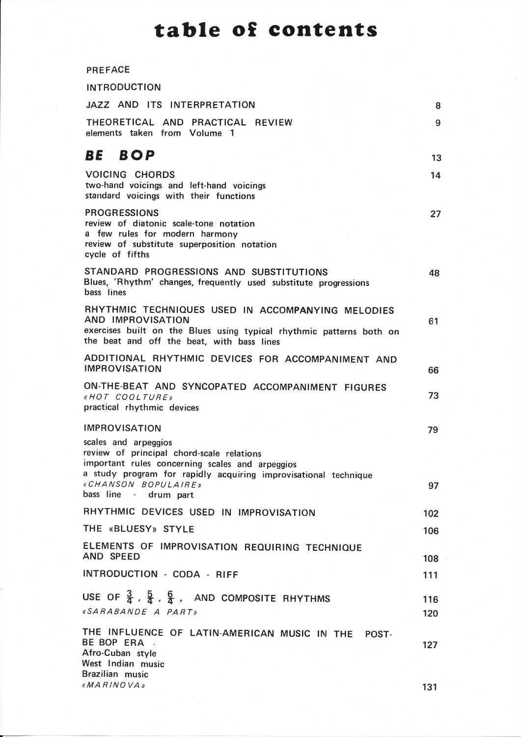## table of contents

|  |  | <b>PREFACE</b> |
|--|--|----------------|
|--|--|----------------|

| <b>INTRODUCTION</b>                                                                                                                                                                                                                     |            |
|-----------------------------------------------------------------------------------------------------------------------------------------------------------------------------------------------------------------------------------------|------------|
| JAZZ AND ITS INTERPRETATION                                                                                                                                                                                                             | 8          |
| THEORETICAL AND PRACTICAL REVIEW<br>elements taken from Volume 1                                                                                                                                                                        | 9          |
| BE BOP                                                                                                                                                                                                                                  | 13         |
| <b>VOICING CHORDS</b><br>two-hand voicings and left-hand voicings<br>standard voicings with their functions                                                                                                                             | 14         |
| <b>PROGRESSIONS</b><br>review of diatonic scale-tone notation<br>a few rules for modern harmony<br>review of substitute superposition notation<br>cycle of fifths                                                                       | 27         |
| STANDARD PROGRESSIONS AND SUBSTITUTIONS<br>Blues, 'Rhythm' changes, frequently used substitute progressions<br>bass lines                                                                                                               | 48         |
| RHYTHMIC TECHNIQUES USED IN ACCOMPANYING MELODIES<br>AND IMPROVISATION<br>exercises built on the Blues using typical rhythmic patterns both on<br>the beat and off the beat, with bass lines                                            | 61         |
| ADDITIONAL RHYTHMIC DEVICES FOR ACCOMPANIMENT AND<br><b>IMPROVISATION</b>                                                                                                                                                               | 66         |
| ON-THE-BEAT AND SYNCOPATED ACCOMPANIMENT FIGURES<br>«HOT COOLTURE»<br>practical rhythmic devices                                                                                                                                        | 73         |
| <b>IMPROVISATION</b>                                                                                                                                                                                                                    | 79         |
| scales and arpeggios<br>review of principal chord-scale relations<br>important rules concerning scales and arpeggios<br>a study program for rapidly acquiring improvisational technique<br>«CHANSON BOPULAIRE»<br>bass line - drum part | 97         |
| RHYTHMIC DEVICES USED IN IMPROVISATION                                                                                                                                                                                                  | 102        |
| THE «BLUESY» STYLE                                                                                                                                                                                                                      | 106        |
| ELEMENTS OF IMPROVISATION REQUIRING TECHNIQUE<br>AND SPEED                                                                                                                                                                              | 108        |
| INTRODUCTION - CODA - RIFF                                                                                                                                                                                                              | 111        |
| USE OF $\frac{3}{4}$ , $\frac{5}{4}$ , $\frac{6}{4}$ , AND COMPOSITE RHYTHMS<br>«SARABANDE A PART»                                                                                                                                      | 116<br>120 |
| THE INFLUENCE OF LATIN-AMERICAN MUSIC IN THE POST-<br>BE BOP ERA<br>Afro-Cuban style<br>West Indian music<br>Brazilian music                                                                                                            | 127        |

 $MARINOVA$   $\rightarrow$  131